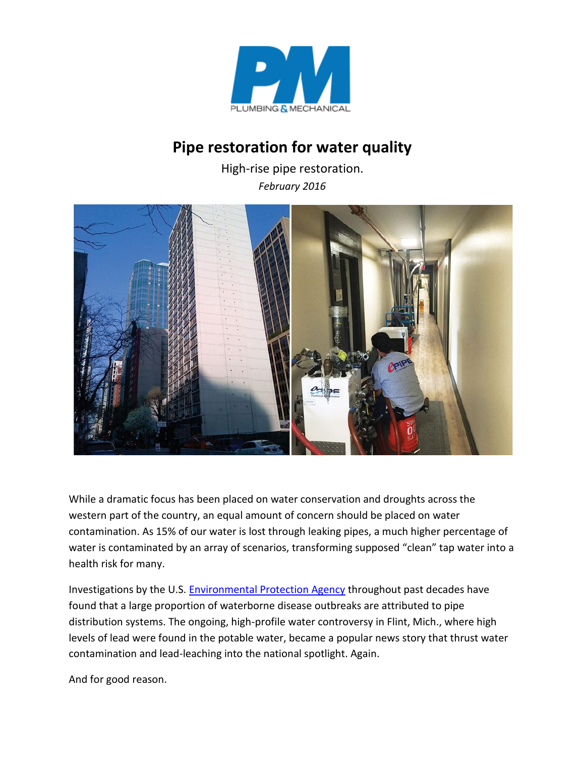

## **Pipe restoration for water quality**

High-rise pipe restoration. *February 2016*



While a dramatic focus has been placed on water conservation and droughts across the western part of the country, an equal amount of concern should be placed on water contamination. As 15% of our water is lost through leaking pipes, a much higher percentage of water is contaminated by an array of scenarios, transforming supposed "clean" tap water into a health risk for many.

Investigations by the U.S. [Environmental Protection Agency](http://www.pmmag.com/keywords/EPA) throughout past decades have found that a large proportion of waterborne disease outbreaks are attributed to pipe distribution systems. The ongoing, high-profile water controversy in Flint, Mich., where high levels of lead were found in the potable water, became a popular news story that thrust water contamination and lead-leaching into the national spotlight. Again.

And for good reason.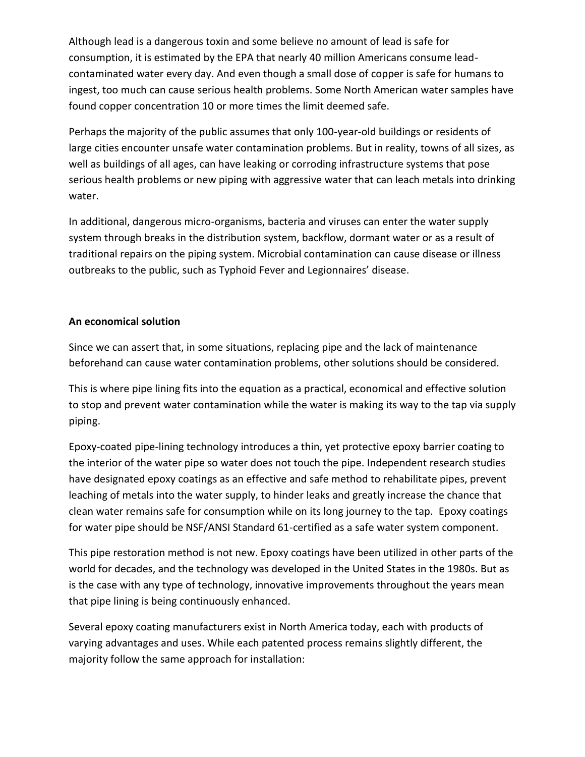Although lead is a dangerous toxin and some believe no amount of lead is safe for consumption, it is estimated by the EPA that nearly 40 million Americans consume leadcontaminated water every day. And even though a small dose of copper is safe for humans to ingest, too much can cause serious health problems. Some North American water samples have found copper concentration 10 or more times the limit deemed safe.

Perhaps the majority of the public assumes that only 100-year-old buildings or residents of large cities encounter unsafe water contamination problems. But in reality, towns of all sizes, as well as buildings of all ages, can have leaking or corroding infrastructure systems that pose serious health problems or new piping with aggressive water that can leach metals into drinking water.

In additional, dangerous micro-organisms, bacteria and viruses can enter the water supply system through breaks in the distribution system, backflow, dormant water or as a result of traditional repairs on the piping system. Microbial contamination can cause disease or illness outbreaks to the public, such as Typhoid Fever and Legionnaires' disease.

## **An economical solution**

Since we can assert that, in some situations, replacing pipe and the lack of maintenance beforehand can cause water contamination problems, other solutions should be considered.

This is where pipe lining fits into the equation as a practical, economical and effective solution to stop and prevent water contamination while the water is making its way to the tap via supply piping.

Epoxy-coated pipe-lining technology introduces a thin, yet protective epoxy barrier coating to the interior of the water pipe so water does not touch the pipe. Independent research studies have designated epoxy coatings as an effective and safe method to rehabilitate pipes, prevent leaching of metals into the water supply, to hinder leaks and greatly increase the chance that clean water remains safe for consumption while on its long journey to the tap. Epoxy coatings for water pipe should be NSF/ANSI Standard 61-certified as a safe water system component.

This pipe restoration method is not new. Epoxy coatings have been utilized in other parts of the world for decades, and the technology was developed in the United States in the 1980s. But as is the case with any type of technology, innovative improvements throughout the years mean that pipe lining is being continuously enhanced.

Several epoxy coating manufacturers exist in North America today, each with products of varying advantages and uses. While each patented process remains slightly different, the majority follow the same approach for installation: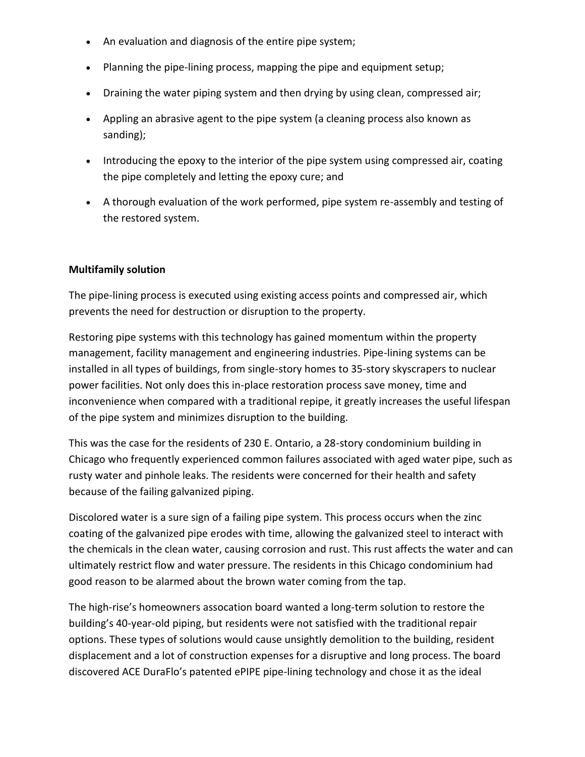- An evaluation and diagnosis of the entire pipe system;
- Planning the pipe-lining process, mapping the pipe and equipment setup;
- Draining the water piping system and then drying by using clean, compressed air;
- Appling an abrasive agent to the pipe system (a cleaning process also known as sanding);
- Introducing the epoxy to the interior of the pipe system using compressed air, coating the pipe completely and letting the epoxy cure; and
- A thorough evaluation of the work performed, pipe system re-assembly and testing of the restored system.

## **Multifamily solution**

The pipe-lining process is executed using existing access points and compressed air, which prevents the need for destruction or disruption to the property.

Restoring pipe systems with this technology has gained momentum within the property management, facility management and engineering industries. Pipe-lining systems can be installed in all types of buildings, from single-story homes to 35-story skyscrapers to nuclear power facilities. Not only does this in-place restoration process save money, time and inconvenience when compared with a traditional repipe, it greatly increases the useful lifespan of the pipe system and minimizes disruption to the building.

This was the case for the residents of 230 E. Ontario, a 28-story condominium building in Chicago who frequently experienced common failures associated with aged water pipe, such as rusty water and pinhole leaks. The residents were concerned for their health and safety because of the failing galvanized piping.

Discolored water is a sure sign of a failing pipe system. This process occurs when the zinc coating of the galvanized pipe erodes with time, allowing the galvanized steel to interact with the chemicals in the clean water, causing corrosion and rust. This rust affects the water and can ultimately restrict flow and water pressure. The residents in this Chicago condominium had good reason to be alarmed about the brown water coming from the tap.

The high-rise's homeowners assocation board wanted a long-term solution to restore the building's 40-year-old piping, but residents were not satisfied with the traditional repair options. These types of solutions would cause unsightly demolition to the building, resident displacement and a lot of construction expenses for a disruptive and long process. The board discovered ACE DuraFlo's patented ePIPE pipe-lining technology and chose it as the ideal